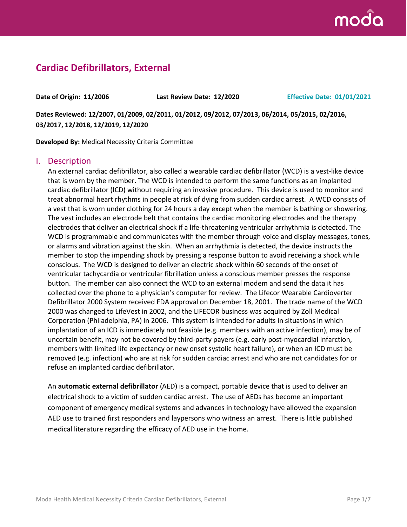

# **Cardiac Defibrillators, External**

**Date of Origin: 11/2006 Last Review Date: 12/2020 Effective Date: 01/01/2021**

**Dates Reviewed: 12/2007, 01/2009, 02/2011, 01/2012, 09/2012, 07/2013, 06/2014, 05/2015, 02/2016, 03/2017, 12/2018, 12/2019, 12/2020**

**Developed By:** Medical Necessity Criteria Committee

#### I. Description

An external cardiac defibrillator, also called a wearable cardiac defibrillator (WCD) is a vest-like device that is worn by the member. The WCD is intended to perform the same functions as an implanted cardiac defibrillator (ICD) without requiring an invasive procedure. This device is used to monitor and treat abnormal heart rhythms in people at risk of dying from sudden cardiac arrest. A WCD consists of a vest that is worn under clothing for 24 hours a day except when the member is bathing or showering. The vest includes an electrode belt that contains the cardiac monitoring electrodes and the therapy electrodes that deliver an electrical shock if a life-threatening ventricular arrhythmia is detected. The WCD is programmable and communicates with the member through voice and display messages, tones, or alarms and vibration against the skin. When an arrhythmia is detected, the device instructs the member to stop the impending shock by pressing a response button to avoid receiving a shock while conscious. The WCD is designed to deliver an electric shock within 60 seconds of the onset of ventricular tachycardia or ventricular fibrillation unless a conscious member presses the response button. The member can also connect the WCD to an external modem and send the data it has collected over the phone to a physician's computer for review. The Lifecor Wearable Cardioverter Defibrillator 2000 System received FDA approval on December 18, 2001. The trade name of the WCD 2000 was changed to LifeVest in 2002, and the LIFECOR business was acquired by Zoll Medical Corporation (Philadelphia, PA) in 2006. This system is intended for adults in situations in which implantation of an ICD is immediately not feasible (e.g. members with an active infection), may be of uncertain benefit, may not be covered by third-party payers (e.g. early post-myocardial infarction, members with limited life expectancy or new onset systolic heart failure), or when an ICD must be removed (e.g. infection) who are at risk for sudden cardiac arrest and who are not candidates for or refuse an implanted cardiac defibrillator.

An **automatic external defibrillator** (AED) is a compact, portable device that is used to deliver an electrical shock to a victim of sudden cardiac arrest. The use of AEDs has become an important component of emergency medical systems and advances in technology have allowed the expansion AED use to trained first responders and laypersons who witness an arrest. There is little published medical literature regarding the efficacy of AED use in the home.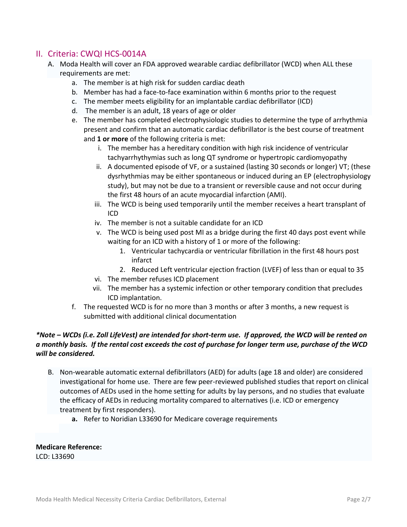# II. Criteria: CWQI HCS-0014A

- A. Moda Health will cover an FDA approved wearable cardiac defibrillator (WCD) when ALL these requirements are met:
	- a. The member is at high risk for sudden cardiac death
	- b. Member has had a face-to-face examination within 6 months prior to the request
	- c. The member meets eligibility for an implantable cardiac defibrillator (ICD)
	- d. The member is an adult, 18 years of age or older
	- e. The member has completed electrophysiologic studies to determine the type of arrhythmia present and confirm that an automatic cardiac defibrillator is the best course of treatment and **1 or more** of the following criteria is met:
		- i. The member has a hereditary condition with high risk incidence of ventricular tachyarrhythymias such as long QT syndrome or hypertropic cardiomyopathy
		- ii. A documented episode of VF, or a sustained (lasting 30 seconds or longer) VT; (these dysrhythmias may be either spontaneous or induced during an EP (electrophysiology study), but may not be due to a transient or reversible cause and not occur during the first 48 hours of an acute myocardial infarction (AMI).
		- iii. The WCD is being used temporarily until the member receives a heart transplant of ICD
		- iv. The member is not a suitable candidate for an ICD
		- v. The WCD is being used post MI as a bridge during the first 40 days post event while waiting for an ICD with a history of 1 or more of the following:
			- 1. Ventricular tachycardia or ventricular fibrillation in the first 48 hours post infarct
			- 2. Reduced Left ventricular ejection fraction (LVEF) of less than or equal to 35
		- vi. The member refuses ICD placement
		- vii. The member has a systemic infection or other temporary condition that precludes ICD implantation.
	- f. The requested WCD is for no more than 3 months or after 3 months, a new request is submitted with additional clinical documentation

#### *\*Note – WCDs (i.e. Zoll LifeVest) are intended for short-term use. If approved, the WCD will be rented on a monthly basis. If the rental cost exceeds the cost of purchase for longer term use, purchase of the WCD will be considered.*

- B. Non-wearable automatic external defibrillators (AED) for adults (age 18 and older) are considered investigational for home use. There are few peer-reviewed published studies that report on clinical outcomes of AEDs used in the home setting for adults by lay persons, and no studies that evaluate the efficacy of AEDs in reducing mortality compared to alternatives (i.e. ICD or emergency treatment by first responders).
	- **a.** Refer to Noridian L33690 for Medicare coverage requirements

**Medicare Reference:** LCD: L33690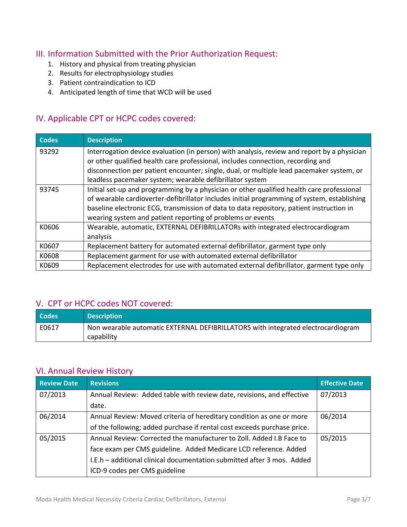# III. Information Submitted with the Prior Authorization Request:

- 1. History and physical from treating physician
- 2. Results for electrophysiology studies
- 3. Patient contraindication to ICD
- 4. Anticipated length of time that WCD will be used

# IV. Applicable CPT or HCPC codes covered:

| <b>Codes</b> | <b>Description</b>                                                                                                                                                                                                                                                                                                                                 |
|--------------|----------------------------------------------------------------------------------------------------------------------------------------------------------------------------------------------------------------------------------------------------------------------------------------------------------------------------------------------------|
| 93292        | Interrogation device evaluation (in person) with analysis, review and report by a physician<br>or other qualified health care professional, includes connection, recording and<br>disconnection per patient encounter; single, dual, or multiple lead pacemaker system, or<br>leadless pacemaker system; wearable defibrillator system             |
| 93745        | Initial set-up and programming by a physician or other qualified health care professional<br>of wearable cardioverter-defibrillator includes initial programming of system, establishing<br>baseline electronic ECG, transmission of data to data repository, patient instruction in<br>wearing system and patient reporting of problems or events |
| K0606        | Wearable, automatic, EXTERNAL DEFIBRILLATORs with integrated electrocardiogram<br>analysis                                                                                                                                                                                                                                                         |
| K0607        | Replacement battery for automated external defibrillator, garment type only                                                                                                                                                                                                                                                                        |
| K0608        | Replacement garment for use with automated external defibrillator                                                                                                                                                                                                                                                                                  |
| K0609        | Replacement electrodes for use with automated external defibrillator, garment type only                                                                                                                                                                                                                                                            |

#### V. CPT or HCPC codes NOT covered:

| Codes | <b>Description</b>                                                                             |
|-------|------------------------------------------------------------------------------------------------|
| E0617 | Non wearable automatic EXTERNAL DEFIBRILLATORS with integrated electrocardiogram<br>capability |

# VI. Annual Review History

| <b>Review Date</b> | <b>Revisions</b>                                                        | <b>Effective Date</b> |
|--------------------|-------------------------------------------------------------------------|-----------------------|
| 07/2013            | Annual Review: Added table with review date, revisions, and effective   | 07/2013               |
|                    | date.                                                                   |                       |
| 06/2014            | Annual Review: Moved criteria of hereditary condition as one or more    | 06/2014               |
|                    | of the following; added purchase if rental cost exceeds purchase price. |                       |
| 05/2015            | Annual Review: Corrected the manufacturer to Zoll. Added I.B Face to    | 05/2015               |
|                    | face exam per CMS guideline. Added Medicare LCD reference. Added        |                       |
|                    | I.E.h - additional clinical documentation submitted after 3 mos. Added  |                       |
|                    | ICD-9 codes per CMS guideline                                           |                       |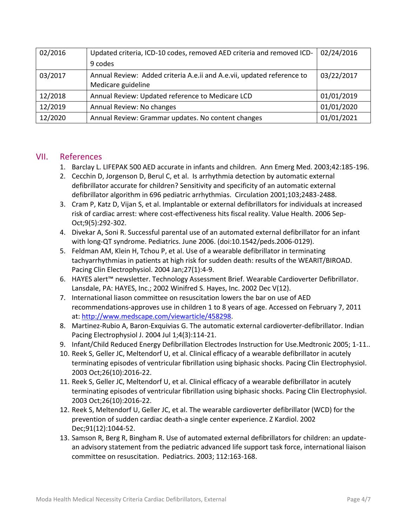| 02/2016 | Updated criteria, ICD-10 codes, removed AED criteria and removed ICD-  | 02/24/2016 |
|---------|------------------------------------------------------------------------|------------|
|         | 9 codes                                                                |            |
| 03/2017 | Annual Review: Added criteria A.e.ii and A.e.vii, updated reference to | 03/22/2017 |
|         | Medicare guideline                                                     |            |
| 12/2018 | Annual Review: Updated reference to Medicare LCD                       | 01/01/2019 |
| 12/2019 | Annual Review: No changes                                              | 01/01/2020 |
| 12/2020 | Annual Review: Grammar updates. No content changes                     | 01/01/2021 |

#### VII. References

- 1. Barclay L. LIFEPAK 500 AED accurate in infants and children. Ann Emerg Med. 2003;42:185-196.
- 2. Cecchin D, Jorgenson D, Berul C, et al. Is arrhythmia detection by automatic external defibrillator accurate for children? Sensitivity and specificity of an automatic external defibrillator algorithm in 696 pediatric arrhythmias. Circulation 2001;103;2483-2488.
- 3. Cram P, Katz D, Vijan S, et al. Implantable or external defibrillators for individuals at increased risk of cardiac arrest: where cost-effectiveness hits fiscal reality. Value Health. 2006 Sep-Oct;9(5):292-302.
- 4. Divekar A, Soni R. Successful parental use of an automated external defibrillator for an infant with long-QT syndrome. Pediatrics. June 2006. (doi:10.1542/peds.2006-0129).
- 5. Feldman AM, Klein H, Tchou P, et al. Use of a wearable defibrillator in terminating tachyarrhythmias in patients at high risk for sudden death: results of the WEARIT/BIROAD. Pacing Clin Electrophysiol. 2004 Jan;27(1):4-9.
- 6. HAYES alert™ newsletter. Technology Assessment Brief. Wearable Cardioverter Defibrillator. Lansdale, PA: HAYES, Inc.; 2002 Winifred S. Hayes, Inc. 2002 Dec V(12).
- 7. International liason committee on resuscitation lowers the bar on use of AED recommendations-approves use in children 1 to 8 years of age. Accessed on February 7, 2011 at: [http://www.medscape.com/viewarticle/458298.](http://www.medscape.com/viewarticle/458298)
- 8. Martinez-Rubio A, Baron-Exquivias G. The automatic external cardioverter-defibrillator. Indian Pacing Electrophysiol J. 2004 Jul 1;4(3):114-21.
- 9. Infant/Child Reduced Energy Defibrillation Electrodes Instruction for Use.Medtronic 2005; 1-11..
- 10. Reek S, Geller JC, Meltendorf U, et al. Clinical efficacy of a wearable defibrillator in acutely terminating episodes of ventricular fibrillation using biphasic shocks. Pacing Clin Electrophysiol. 2003 Oct;26(10):2016-22.
- 11. Reek S, Geller JC, Meltendorf U, et al. Clinical efficacy of a wearable defibrillator in acutely terminating episodes of ventricular fibrillation using biphasic shocks. Pacing Clin Electrophysiol. 2003 Oct;26(10):2016-22.
- 12. Reek S, Meltendorf U, Geller JC, et al. The wearable cardioverter defibrillator (WCD) for the prevention of sudden cardiac death-a single center experience. Z Kardiol. 2002 Dec;91(12):1044-52.
- 13. Samson R, Berg R, Bingham R. Use of automated external defibrillators for children: an updatean advisory statement from the pediatric advanced life support task force, international liaison committee on resuscitation. Pediatrics. 2003; 112:163-168.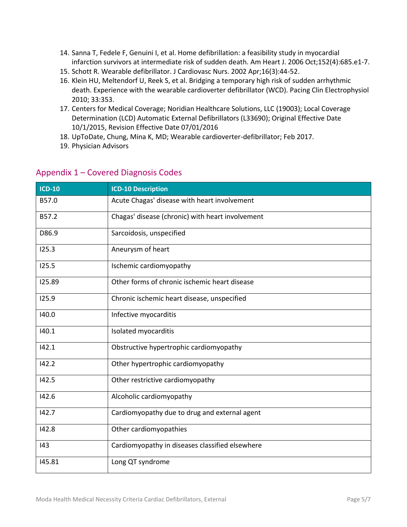- 14. Sanna T, Fedele F, Genuini I, et al. Home defibrillation: a feasibility study in myocardial infarction survivors at intermediate risk of sudden death. Am Heart J. 2006 Oct;152(4):685.e1-7.
- 15. Schott R. Wearable defibrillator. J Cardiovasc Nurs. 2002 Apr;16(3):44-52.
- 16. [Klein HU, Meltendorf U, Reek S, et al. Bridging](http://www.uptodate.com/contents/wearable-cardioverter-defibrillator/abstract/5) a temporary high risk of sudden arrhythmic [death. Experience with the wearable cardioverter defibrillator \(WCD\). Pacing Clin Electrophysiol](http://www.uptodate.com/contents/wearable-cardioverter-defibrillator/abstract/5)  [2010; 33:353.](http://www.uptodate.com/contents/wearable-cardioverter-defibrillator/abstract/5)
- 17. Centers for Medical Coverage; Noridian Healthcare Solutions, LLC (19003); Local Coverage Determination (LCD) Automatic External Defibrillators (L33690); Original Effective Date 10/1/2015, Revision Effective Date 07/01/2016
- 18. UpToDate, Chung, Mina K, MD; Wearable cardioverter-defibrillator; Feb 2017.
- 19. Physician Advisors

| <b>ICD-10</b> | <b>ICD-10 Description</b>                        |
|---------------|--------------------------------------------------|
| B57.0         | Acute Chagas' disease with heart involvement     |
| B57.2         | Chagas' disease (chronic) with heart involvement |
| D86.9         | Sarcoidosis, unspecified                         |
| 125.3         | Aneurysm of heart                                |
| 125.5         | Ischemic cardiomyopathy                          |
| 125.89        | Other forms of chronic ischemic heart disease    |
| 125.9         | Chronic ischemic heart disease, unspecified      |
| 140.0         | Infective myocarditis                            |
| 140.1         | Isolated myocarditis                             |
| 142.1         | Obstructive hypertrophic cardiomyopathy          |
| 142.2         | Other hypertrophic cardiomyopathy                |
| 142.5         | Other restrictive cardiomyopathy                 |
| 142.6         | Alcoholic cardiomyopathy                         |
| 142.7         | Cardiomyopathy due to drug and external agent    |
| 142.8         | Other cardiomyopathies                           |
| 43            | Cardiomyopathy in diseases classified elsewhere  |
| 145.81        | Long QT syndrome                                 |

#### Appendix 1 – Covered Diagnosis Codes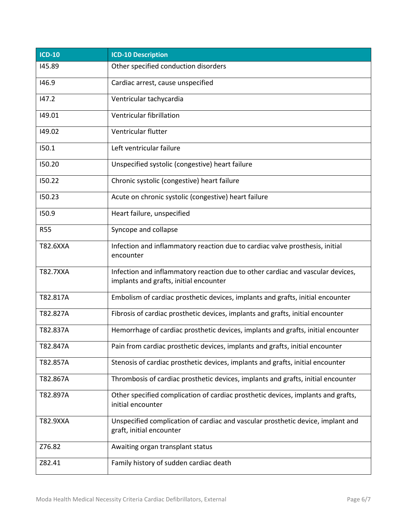| <b>ICD-10</b>   | <b>ICD-10 Description</b>                                                                                                |
|-----------------|--------------------------------------------------------------------------------------------------------------------------|
| 145.89          | Other specified conduction disorders                                                                                     |
| 146.9           | Cardiac arrest, cause unspecified                                                                                        |
| 147.2           | Ventricular tachycardia                                                                                                  |
| 149.01          | Ventricular fibrillation                                                                                                 |
| 149.02          | Ventricular flutter                                                                                                      |
| 150.1           | Left ventricular failure                                                                                                 |
| 150.20          | Unspecified systolic (congestive) heart failure                                                                          |
| 150.22          | Chronic systolic (congestive) heart failure                                                                              |
| 150.23          | Acute on chronic systolic (congestive) heart failure                                                                     |
| 150.9           | Heart failure, unspecified                                                                                               |
| <b>R55</b>      | Syncope and collapse                                                                                                     |
| T82.6XXA        | Infection and inflammatory reaction due to cardiac valve prosthesis, initial<br>encounter                                |
| <b>T82.7XXA</b> | Infection and inflammatory reaction due to other cardiac and vascular devices,<br>implants and grafts, initial encounter |
| T82.817A        | Embolism of cardiac prosthetic devices, implants and grafts, initial encounter                                           |
| T82.827A        | Fibrosis of cardiac prosthetic devices, implants and grafts, initial encounter                                           |
| T82.837A        | Hemorrhage of cardiac prosthetic devices, implants and grafts, initial encounter                                         |
| T82.847A        | Pain from cardiac prosthetic devices, implants and grafts, initial encounter                                             |
| T82.857A        | Stenosis of cardiac prosthetic devices, implants and grafts, initial encounter                                           |
| T82.867A        | Thrombosis of cardiac prosthetic devices, implants and grafts, initial encounter                                         |
| T82.897A        | Other specified complication of cardiac prosthetic devices, implants and grafts,<br>initial encounter                    |
| T82.9XXA        | Unspecified complication of cardiac and vascular prosthetic device, implant and<br>graft, initial encounter              |
| Z76.82          | Awaiting organ transplant status                                                                                         |
| Z82.41          | Family history of sudden cardiac death                                                                                   |